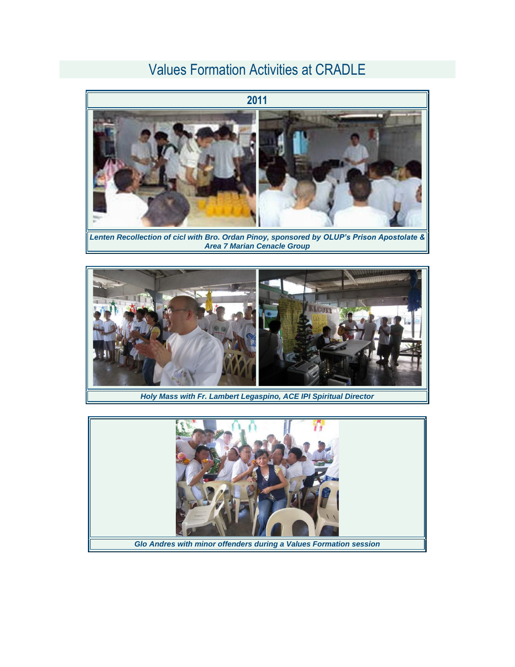## Values Formation Activities at CRADLE



*Lenten Recollection of cicl with Bro. Ordan Pinoy, sponsored by OLUP's Prison Apostolate & Area 7 Marian Cenacle Group*



*Holy Mass with Fr. Lambert Legaspino, ACE IPI Spiritual Director*

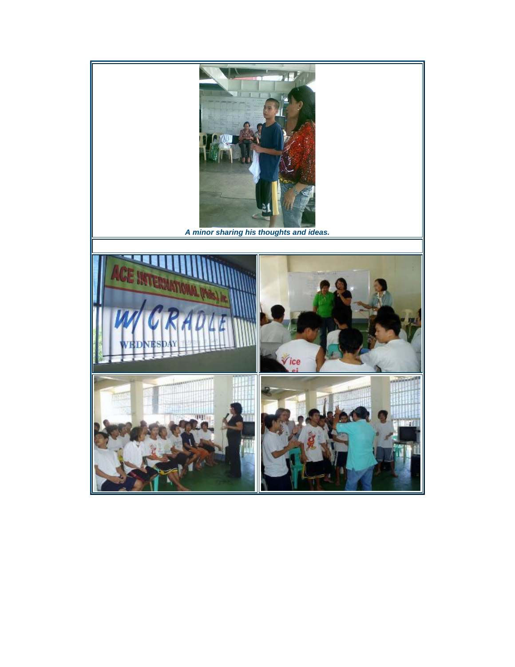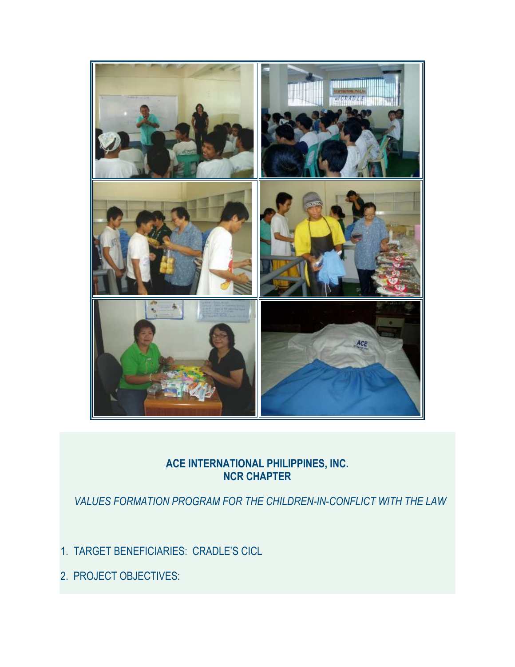

## **ACE INTERNATIONAL PHILIPPINES, INC. NCR CHAPTER**

 *VALUES FORMATION PROGRAM FOR THE CHILDREN-IN-CONFLICT WITH THE LAW*

- 1. TARGET BENEFICIARIES: CRADLE'S CICL
- 2. PROJECT OBJECTIVES: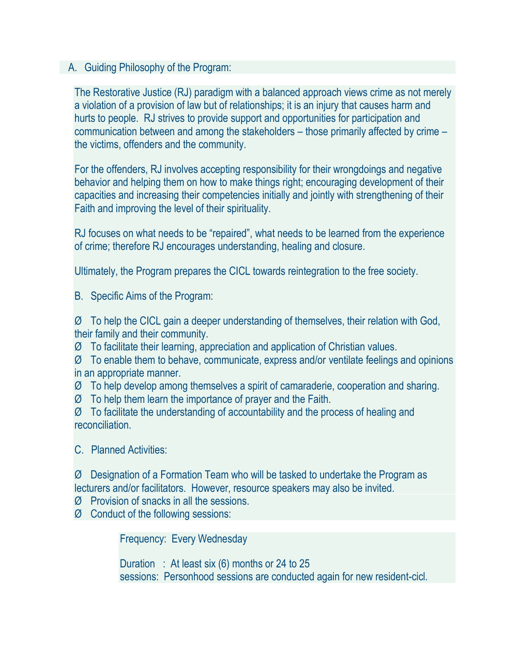## A. Guiding Philosophy of the Program:

The Restorative Justice (RJ) paradigm with a balanced approach views crime as not merely a violation of a provision of law but of relationships; it is an injury that causes harm and hurts to people. RJ strives to provide support and opportunities for participation and communication between and among the stakeholders – those primarily affected by crime – the victims, offenders and the community.

For the offenders, RJ involves accepting responsibility for their wrongdoings and negative behavior and helping them on how to make things right; encouraging development of their capacities and increasing their competencies initially and jointly with strengthening of their Faith and improving the level of their spirituality.

RJ focuses on what needs to be "repaired", what needs to be learned from the experience of crime; therefore RJ encourages understanding, healing and closure.

Ultimately, the Program prepares the CICL towards reintegration to the free society.

B. Specific Aims of the Program:

Ø To help the CICL gain a deeper understanding of themselves, their relation with God, their family and their community.

Ø To facilitate their learning, appreciation and application of Christian values.

Ø To enable them to behave, communicate, express and/or ventilate feelings and opinions in an appropriate manner.

Ø To help develop among themselves a spirit of camaraderie, cooperation and sharing.

Ø To help them learn the importance of prayer and the Faith.

Ø To facilitate the understanding of accountability and the process of healing and reconciliation.

C. Planned Activities:

Ø Designation of a Formation Team who will be tasked to undertake the Program as lecturers and/or facilitators. However, resource speakers may also be invited.

Ø Provision of snacks in all the sessions.

Ø Conduct of the following sessions:

Frequency: Every Wednesday

Duration : At least six (6) months or 24 to 25 sessions: Personhood sessions are conducted again for new resident-cicl.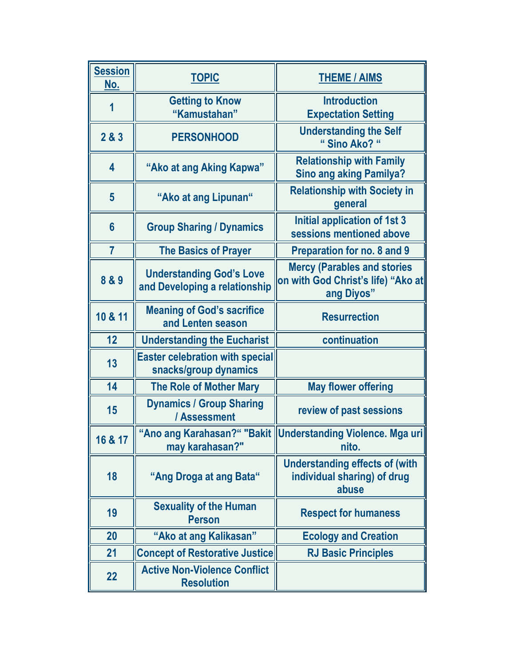| <b>Session</b><br>No.   | <b>TOPIC</b>                                                     | <b>THEME / AIMS</b>                                                                     |
|-------------------------|------------------------------------------------------------------|-----------------------------------------------------------------------------------------|
| 1                       | <b>Getting to Know</b><br>"Kamustahan"                           | <b>Introduction</b><br><b>Expectation Setting</b>                                       |
| 2 & 3                   | <b>PERSONHOOD</b>                                                | <b>Understanding the Self</b><br>"Sino Ako? "                                           |
| $\overline{\mathbf{4}}$ | "Ako at ang Aking Kapwa"                                         | <b>Relationship with Family</b><br><b>Sino ang aking Pamilya?</b>                       |
| $5\phantom{1}$          | "Ako at ang Lipunan"                                             | <b>Relationship with Society in</b><br>general                                          |
| $6\phantom{1}$          | <b>Group Sharing / Dynamics</b>                                  | Initial application of 1st 3<br>sessions mentioned above                                |
| $\overline{7}$          | <b>The Basics of Prayer</b>                                      | Preparation for no. 8 and 9                                                             |
| 8 & 9                   | <b>Understanding God's Love</b><br>and Developing a relationship | <b>Mercy (Parables and stories)</b><br>on with God Christ's life) "Ako at<br>ang Diyos" |
| 10 & 11                 | <b>Meaning of God's sacrifice</b><br>and Lenten season           | <b>Resurrection</b>                                                                     |
| 12                      | <b>Understanding the Eucharist</b>                               | continuation                                                                            |
| 13                      | <b>Easter celebration with special</b><br>snacks/group dynamics  |                                                                                         |
| 14                      | <b>The Role of Mother Mary</b>                                   | <b>May flower offering</b>                                                              |
| 15                      | <b>Dynamics / Group Sharing</b><br>/ Assessment                  | review of past sessions                                                                 |
| 16 & 17                 | may karahasan?"                                                  | "Ano ang Karahasan?" "Bakit   Understanding Violence. Mga uri  <br>nito.                |
| 18                      | "Ang Droga at ang Bata"                                          | <b>Understanding effects of (with</b><br>individual sharing) of drug<br>abuse           |
| 19                      | <b>Sexuality of the Human</b><br><b>Person</b>                   | <b>Respect for humaness</b>                                                             |
| 20                      | "Ako at ang Kalikasan"                                           | <b>Ecology and Creation</b>                                                             |
| 21                      | <b>Concept of Restorative Justice</b>                            | <b>RJ Basic Principles</b>                                                              |
| 22                      | <b>Active Non-Violence Conflict</b><br><b>Resolution</b>         |                                                                                         |